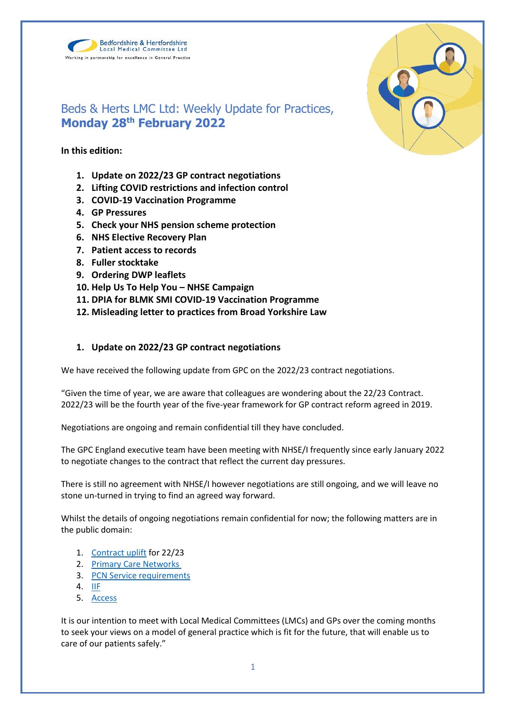



# Beds & Herts LMC Ltd: Weekly Update for Practices, **Monday 28th February 2022**

**In this edition:**

- **1. Update on 2022/23 GP contract negotiations**
- **2. Lifting COVID restrictions and infection control**
- **3. COVID-19 Vaccination Programme**
- **4. GP Pressures**
- **5. Check your NHS pension scheme protection**
- **6. NHS Elective Recovery Plan**
- **7. Patient access to records**
- **8. Fuller stocktake**
- **9. Ordering DWP leaflets**
- **10. Help Us To Help You – NHSE Campaign**
- **11. DPIA for BLMK SMI COVID-19 Vaccination Programme**
- **12. Misleading letter to practices from Broad Yorkshire Law**

# **1. Update on 2022/23 GP contract negotiations**

We have received the following update from GPC on the 2022/23 contract negotiations.

"Given the time of year, we are aware that colleagues are wondering about the 22/23 Contract. 2022/23 will be the fourth year of the five-year framework for GP contract reform agreed in 2019.

Negotiations are ongoing and remain confidential till they have concluded.

The GPC England executive team have been meeting with NHSE/I frequently since early January 2022 to negotiate changes to the contract that reflect the current day pressures.

There is still no agreement with NHSE/I however negotiations are still ongoing, and we will leave no stone un-turned in trying to find an agreed way forward.

Whilst the details of ongoing negotiations remain confidential for now; the following matters are in the public domain:

- 1. [Contract uplift](https://www.england.nhs.uk/wp-content/uploads/2019/01/gp-contract-2019.pdf) for 22/23
- 2. [Primary Care Networks](https://www.england.nhs.uk/wp-content/uploads/2021/08/B0828-i-gp-contract-letter-pvns-21-22-and-22-23.pdf)
- 3. [PCN Service requirements](https://www.england.nhs.uk/wp-content/uploads/2021/08/B0828-ii-annex-a-pcn-plans-for-21-22-and-22-23.pdf)
- 4. [IIF](https://www.england.nhs.uk/wp-content/uploads/2021/08/B0828-iii-annex-b-investment-and-impact-fund-21-22-22-23.pdf)
- 5. [Access](https://www.england.nhs.uk/wp-content/uploads/2021/08/B0828-i-gp-contract-letter-pvns-21-22-and-22-23.pdf)

It is our intention to meet with Local Medical Committees (LMCs) and GPs over the coming months to seek your views on a model of general practice which is fit for the future, that will enable us to care of our patients safely."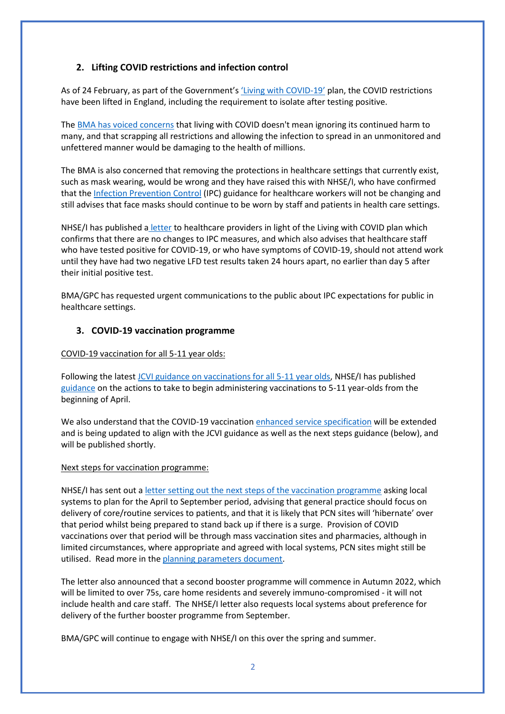# **2. Lifting COVID restrictions and infection control**

As of 24 February, as part of the Government's ['Living with COVID](https://www.gov.uk/government/publications/covid-19-response-living-with-covid-19)-19' plan, the COVID restrictions have been lifted in England, including the requirement to isolate after testing positive.

The [BMA has voiced concerns](https://www.bma.org.uk/bma-media-centre/living-with-covid-doesn-t-mean-ignoring-it-says-bma-ahead-of-final-government-plan) that living with COVID doesn't mean ignoring its continued harm to many, and that scrapping all restrictions and allowing the infection to spread in an unmonitored and unfettered manner would be damaging to the health of millions.

The BMA is also concerned that removing the protections in healthcare settings that currently exist, such as mask wearing, would be wrong and they have raised this with NHSE/I, who have confirmed that the [Infection Prevention Control](https://www.gov.uk/government/publications/wuhan-novel-coronavirus-infection-prevention-and-control) (IPC) guidance for healthcare workers will not be changing and still advises that face masks should continue to be worn by staff and patients in health care settings.

NHSE/I has published a [letter](https://www.england.nhs.uk/coronavirus/publication/living-with-covid-19-white-paper-update/) to healthcare providers in light of the Living with COVID plan which confirms that there are no changes to IPC measures, and which also advises that healthcare staff who have tested positive for COVID-19, or who have symptoms of COVID-19, should not attend work until they have had two negative LFD test results taken 24 hours apart, no earlier than day 5 after their initial positive test.

BMA/GPC has requested urgent communications to the public about IPC expectations for public in healthcare settings.

#### **3. COVID-19 vaccination programme**

#### COVID-19 vaccination for all 5-11 year olds:

Following the lates[t JCVI guidance on vaccinations for all 5-11 year olds,](https://www.gov.uk/government/publications/jcvi-update-on-advice-for-covid-19-vaccination-of-children-aged-5-to-11/jcvi-statement-on-vaccination-of-children-aged-5-to-11-years-old) NHSE/I has publishe[d](https://www.england.nhs.uk/coronavirus/publication/updated-jcvi-advice-for-vaccinating-5-to-11-year-olds/) [guidance](https://www.england.nhs.uk/coronavirus/publication/updated-jcvi-advice-for-vaccinating-5-to-11-year-olds/) on the actions to take to begin administering vaccinations to 5-11 year-olds from the beginning of April.

We also understand that the COVID-19 vaccinatio[n enhanced service specification](https://www.england.nhs.uk/coronavirus/publication/enhanced-service-specification-phase-3-coronavirus-vaccination/) will be extended and is being updated to align with the JCVI guidance as well as the next steps guidance (below), and will be published shortly.

#### Next steps for vaccination programme:

NHSE/I has sent out a [letter setting out the next steps of the vaccination programme](https://www.england.nhs.uk/coronavirus/publication/next-steps-for-the-nhs-covid-19-vaccination-programme-planning-and-delivery/) asking local systems to plan for the April to September period, advising that general practice should focus on delivery of core/routine services to patients, and that it is likely that PCN sites will 'hibernate' over that period whilst being prepared to stand back up if there is a surge. Provision of COVID vaccinations over that period will be through mass vaccination sites and pharmacies, although in limited circumstances, where appropriate and agreed with local systems, PCN sites might still be utilised. Read more in the [planning parameters document.](https://www.england.nhs.uk/coronavirus/wp-content/uploads/sites/52/2022/02/C1597-Planning-parameters-for-2022-23.pdf)

The letter also announced that a second booster programme will commence in Autumn 2022, which will be limited to over 75s, care home residents and severely immuno-compromised - it will not include health and care staff. The NHSE/I letter also requests local systems about preference for delivery of the further booster programme from September.

BMA/GPC will continue to engage with NHSE/I on this over the spring and summer.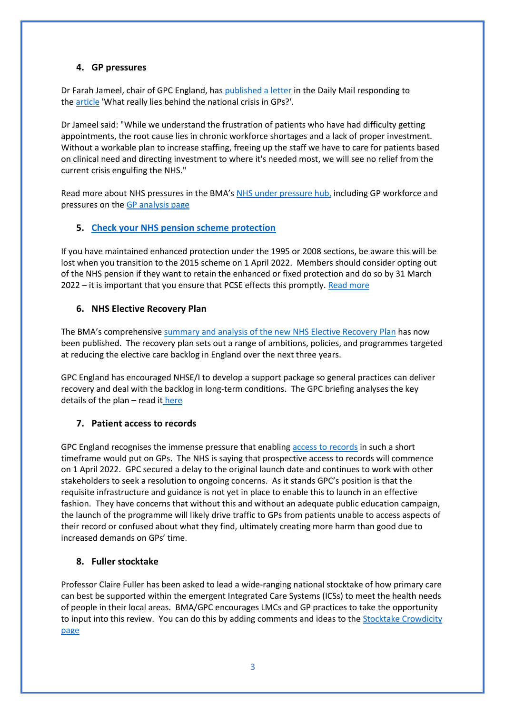#### **4. GP pressures**

Dr Farah Jameel, chair of GPC England, has [published a letter](https://www.bma.org.uk/bma-media-centre/bma-letter-to-the-daily-mail-on-gp-pressures) in the Daily Mail responding to the [article](https://www.dailymail.co.uk/news/article-10525435/Where-GPs-gone-Investigation-exposes-troubling-truth-crisis.html) 'What really lies behind the national crisis in GPs?'.

Dr Jameel said: "While we understand the frustration of patients who have had difficulty getting appointments, the root cause lies in chronic workforce shortages and a lack of proper investment. Without a workable plan to increase staffing, freeing up the staff we have to care for patients based on clinical need and directing investment to where it's needed most, we will see no relief from the current crisis engulfing the NHS."

Read more about NHS pressures in the BMA's [NHS under pressure hub,](https://www.bma.org.uk/advice-and-support/nhs-delivery-and-workforce/pressures/an-nhs-under-pressure) including GP workforce and pressures on the [GP analysis page](https://www.bma.org.uk/advice-and-support/nhs-delivery-and-workforce/pressures/pressures-in-general-practice-data-analysis)

# **5. [Check your NHS pension scheme protection](https://bma-mail.org.uk/t/JVX-7OXDH-ZIK0ZJ-4OFXO2-1/c.aspx)**

If you have maintained enhanced protection under the 1995 or 2008 sections, be aware this will be lost when you transition to the 2015 scheme on 1 April 2022. Members should consider opting out of the NHS pension if they want to retain the enhanced or fixed protection and do so by 31 March 2022 – it is important that you ensure that PCSE effects this promptly. [Read more](https://www.bma.org.uk/pay-and-contracts/pensions/tax/nhs-pension-lifetime-allowance)

# **6. NHS Elective Recovery Plan**

The BMA's comprehensive [summary and analysis of the new NHS Elective Recovery Plan](https://www.bma.org.uk/media/5082/bma-members-briefing-on-the-elective-care-recovery-plan-feb-2022.pdf) has now been published. The recovery plan sets out a range of ambitions, policies, and programmes targeted at reducing the elective care backlog in England over the next three years.

GPC England has encouraged NHSE/I to develop a support package so general practices can deliver recovery and deal with the backlog in long-term conditions. The GPC briefing analyses the key details of the plan – read it [here](https://www.bma.org.uk/media/5082/bma-members-briefing-on-the-elective-care-recovery-plan-feb-2022.pdf)

# **7. Patient access to records**

GPC England recognises the immense pressure that enabling [access to records](https://digital.nhs.uk/services/nhs-app/nhs-app-guidance-for-gp-practices/accelerating-patient-access-to-their-record) in such a short timeframe would put on GPs. The NHS is saying that prospective access to records will commence on 1 April 2022. GPC secured a delay to the original launch date and continues to work with other stakeholders to seek a resolution to ongoing concerns. As it stands GPC's position is that the requisite infrastructure and guidance is not yet in place to enable this to launch in an effective fashion. They have concerns that without this and without an adequate public education campaign, the launch of the programme will likely drive traffic to GPs from patients unable to access aspects of their record or confused about what they find, ultimately creating more harm than good due to increased demands on GPs' time.

#### **8. Fuller stocktake**

Professor Claire Fuller has been asked to lead a wide-ranging national stocktake of how primary care can best be supported within the emergent Integrated Care Systems (ICSs) to meet the health needs of people in their local areas. BMA/GPC encourages LMCs and GP practices to take the opportunity to input into this review. You can do this by adding comments and ideas to the Stocktake Crowdicity [page](https://fullerstocktake.crowdicity.com/)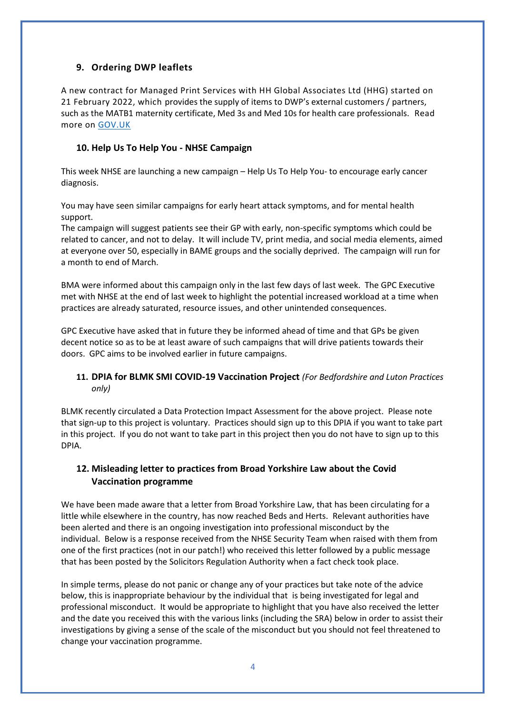# **9. Ordering DWP leaflets**

A new contract for Managed Print Services with HH Global Associates Ltd (HHG) started on 21 February 2022, which provides the supply of items to DWP's external customers / partners, such as the MATB1 maternity certificate, Med 3s and Med 10s for health care professionals. Read more on [GOV.UK](https://www.gov.uk/government/collections/dwp-leaflets-and-how-to-order-them#how-to-order-dwp-leaflets)

#### **10. Help Us To Help You - NHSE Campaign**

This week NHSE are launching a new campaign – Help Us To Help You- to encourage early cancer diagnosis.

You may have seen similar campaigns for early heart attack symptoms, and for mental health support.

The campaign will suggest patients see their GP with early, non-specific symptoms which could be related to cancer, and not to delay. It will include TV, print media, and social media elements, aimed at everyone over 50, especially in BAME groups and the socially deprived. The campaign will run for a month to end of March.

BMA were informed about this campaign only in the last few days of last week. The GPC Executive met with NHSE at the end of last week to highlight the potential increased workload at a time when practices are already saturated, resource issues, and other unintended consequences.

GPC Executive have asked that in future they be informed ahead of time and that GPs be given decent notice so as to be at least aware of such campaigns that will drive patients towards their doors. GPC aims to be involved earlier in future campaigns.

# **11. DPIA for BLMK SMI COVID-19 Vaccination Project** *(For Bedfordshire and Luton Practices only)*

BLMK recently circulated a Data Protection Impact Assessment for the above project. Please note that sign-up to this project is voluntary. Practices should sign up to this DPIA if you want to take part in this project. If you do not want to take part in this project then you do not have to sign up to this DPIA.

# **12. Misleading letter to practices from Broad Yorkshire Law about the Covid Vaccination programme**

We have been made aware that a letter from Broad Yorkshire Law, that has been circulating for a little while elsewhere in the country, has now reached Beds and Herts. Relevant authorities have been alerted and there is an ongoing investigation into professional misconduct by the individual. Below is a response received from the NHSE Security Team when raised with them from one of the first practices (not in our patch!) who received this letter followed by a public message that has been posted by the Solicitors Regulation Authority when a fact check took place.

In simple terms, please do not panic or change any of your practices but take note of the advice below, this is inappropriate behaviour by the individual that is being investigated for legal and professional misconduct. It would be appropriate to highlight that you have also received the letter and the date you received this with the various links (including the SRA) below in order to assist their investigations by giving a sense of the scale of the misconduct but you should not feel threatened to change your vaccination programme.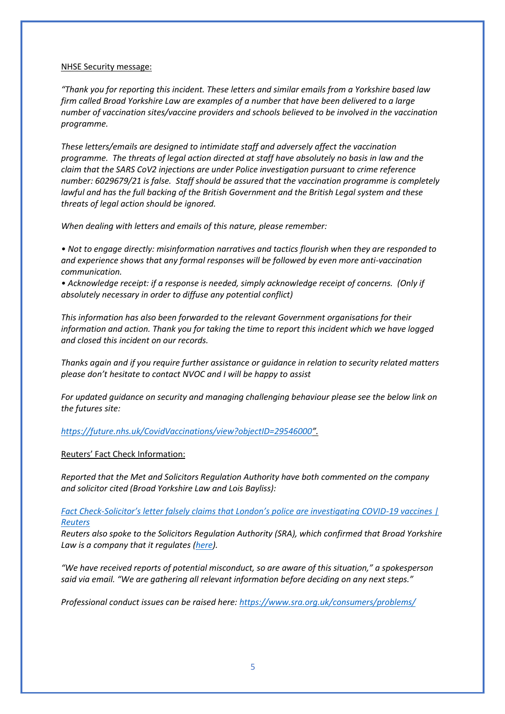#### NHSE Security message:

*"Thank you for reporting this incident. These letters and similar emails from a Yorkshire based law firm called Broad Yorkshire Law are examples of a number that have been delivered to a large number of vaccination sites/vaccine providers and schools believed to be involved in the vaccination programme.*

*These letters/emails are designed to intimidate staff and adversely affect the vaccination programme. The threats of legal action directed at staff have absolutely no basis in law and the claim that the SARS CoV2 injections are under Police investigation pursuant to crime reference number: 6029679/21 is false. Staff should be assured that the vaccination programme is completely lawful and has the full backing of the British Government and the British Legal system and these threats of legal action should be ignored.*

*When dealing with letters and emails of this nature, please remember:*

*• Not to engage directly: misinformation narratives and tactics flourish when they are responded to and experience shows that any formal responses will be followed by even more anti-vaccination communication.*

• Acknowledge receipt: if a response is needed, simply acknowledge receipt of concerns. (Only if *absolutely necessary in order to diffuse any potential conflict)*

*This information has also been forwarded to the relevant Government organisations for their information and action. Thank you for taking the time to report this incident which we have logged and closed this incident on our records.*

*Thanks again and if you require further assistance or guidance in relation to security related matters please don't hesitate to contact NVOC and I will be happy to assist*

*For updated guidance on security and managing challenging behaviour please see the below link on the futures site:*

*<https://future.nhs.uk/CovidVaccinations/view?objectID=29546000>".*

#### Reuters' Fact Check Information:

*Reported that the Met and Solicitors Regulation Authority have both commented on the company and solicitor cited (Broad Yorkshire Law and Lois Bayliss):*

*Fact Check-[Solicitor's letter falsely claims that London's police are investigating COVID](https://eur02.safelinks.protection.outlook.com/?url=https%3A%2F%2Fwww.reuters.com%2Farticle%2Ffactcheck-coronavirus-britain%2Ffact-check-solicitors-letter-falsely-claims-that-londons-police-are-investigating-covid-19-vaccines-idUSL1N2UJ1UY&data=04%7C01%7Csam.dowling%40lmc.org.uk%7C936644fe0c494f053dcc08d9ebb96d38%7C5670c82635004dfd9a7fc45939b3c53f%7C0%7C0%7C637800003900394515%7CUnknown%7CTWFpbGZsb3d8eyJWIjoiMC4wLjAwMDAiLCJQIjoiV2luMzIiLCJBTiI6Ik1haWwiLCJXVCI6Mn0%3D%7C3000&sdata=J%2ByGaXyWb4rhRih%2F7W9L8ahmRBaChu%2B%2F116ZorE0bXY%3D&reserved=0)-19 vaccines | [Reuters](https://eur02.safelinks.protection.outlook.com/?url=https%3A%2F%2Fwww.reuters.com%2Farticle%2Ffactcheck-coronavirus-britain%2Ffact-check-solicitors-letter-falsely-claims-that-londons-police-are-investigating-covid-19-vaccines-idUSL1N2UJ1UY&data=04%7C01%7Csam.dowling%40lmc.org.uk%7C936644fe0c494f053dcc08d9ebb96d38%7C5670c82635004dfd9a7fc45939b3c53f%7C0%7C0%7C637800003900394515%7CUnknown%7CTWFpbGZsb3d8eyJWIjoiMC4wLjAwMDAiLCJQIjoiV2luMzIiLCJBTiI6Ik1haWwiLCJXVCI6Mn0%3D%7C3000&sdata=J%2ByGaXyWb4rhRih%2F7W9L8ahmRBaChu%2B%2F116ZorE0bXY%3D&reserved=0)*

*Reuters also spoke to the Solicitors Regulation Authority (SRA), which confirmed that Broad Yorkshire Law is a company that it regulates [\(here\)](https://eur02.safelinks.protection.outlook.com/?url=https%3A%2F%2Fwww.sra.org.uk%2Fconsumers%2Fregister%2Forganisation%2F%3FsraNumber%3D565846&data=04%7C01%7Csam.dowling%40lmc.org.uk%7C936644fe0c494f053dcc08d9ebb96d38%7C5670c82635004dfd9a7fc45939b3c53f%7C0%7C0%7C637800003900394515%7CUnknown%7CTWFpbGZsb3d8eyJWIjoiMC4wLjAwMDAiLCJQIjoiV2luMzIiLCJBTiI6Ik1haWwiLCJXVCI6Mn0%3D%7C3000&sdata=duCVkqr%2BeEdkraiaijLBrg9LElYxZzgd8WdadkAwg7Q%3D&reserved=0).*

*"We have received reports of potential misconduct, so are aware of this situation," a spokesperson said via email. "We are gathering all relevant information before deciding on any next steps."*

*Professional conduct issues can be raised here:<https://www.sra.org.uk/consumers/problems/>*